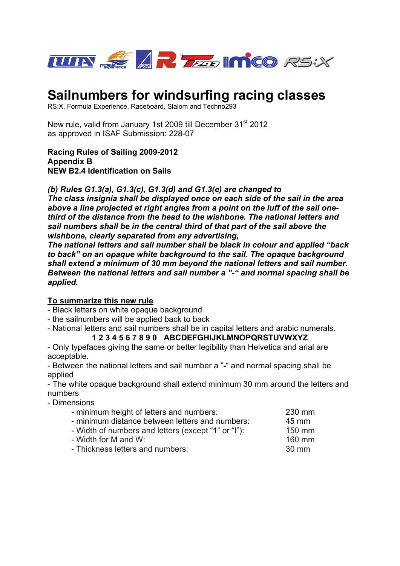

# **Sailnumbers for windsurfing racing classes**

RS:X, Formula Experience, Raceboard, Slalom and Techno293

New rule, valid from January 1st 2009 till December 31<sup>st</sup> 2012 as approved in ISAF Submission: 228-07

**Racing Rules of Sailing 2009-2012 Appendix B NEW B2.4 Identification on Sails** 

*(b) Rules G1.3(a), G1.3(c), G1.3(d) and G1.3(e) are changed to* 

*The class insignia shall be displayed once on each side of the sail in the area above a line projected at right angles from a point on the luff of the sail onethird of the distance from the head to the wishbone. The national letters and sail numbers shall be in the central third of that part of the sail above the wishbone, clearly separated from any advertising,* 

*The national letters and sail number shall be black in colour and applied "back to back" on an opaque white background to the sail. The opaque background shall extend a minimum of 30 mm beyond the national letters and sail number. Between the national letters and sail number a "-" and normal spacing shall be applied.* 

#### **To summarize this new rule**

- Black letters on white opaque background

- the sailnumbers will be applied back to back

- National letters and sail numbers shall be in capital letters and arabic numerals.

#### **1 2 3 4 5 6 7 8 9 0 ABCDEFGHIJKLMNOPQRSTUVWXYZ**

- Only typefaces giving the same or better legibility than Helvetica and arial are acceptable.

- Between the national letters and sail number a "**-**" and normal spacing shall be applied

- The white opaque background shall extend minimum 30 mm around the letters and numbers

- Dimensions

| - minimum height of letters and numbers:            | 230 mm |
|-----------------------------------------------------|--------|
| - minimum distance between letters and numbers:     | 45 mm  |
| - Width of numbers and letters (except "1" or "I"): | 150 mm |
| - Width for M and W:                                | 160 mm |
| - Thickness letters and numbers:                    | 30 mm  |